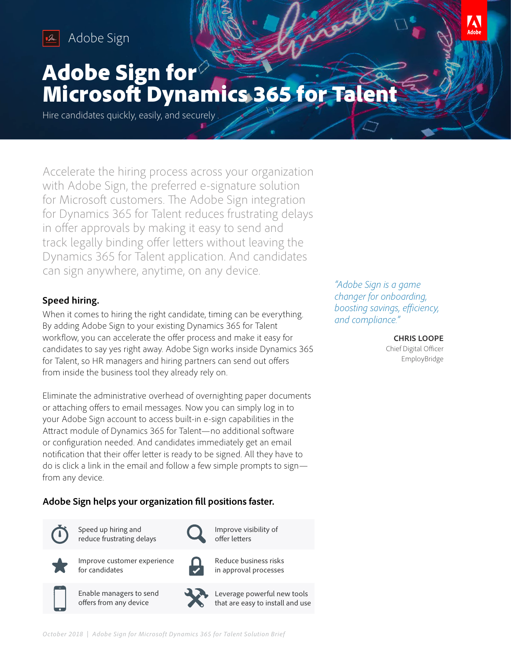

Adobe Sign Adobe Sign



# Adobe Sign for Microsoft Dynamics 365 for Talent

Hire candidates quickly, easily, and securely .

Accelerate the hiring process across your organization with Adobe Sign, the preferred e-signature solution for Microsoft customers. The Adobe Sign integration for Dynamics 365 for Talent reduces frustrating delays in offer approvals by making it easy to send and track legally binding offer letters without leaving the Dynamics 365 for Talent application. And candidates can sign anywhere, anytime, on any device.

## **Speed hiring.**

When it comes to hiring the right candidate, timing can be everything. By adding Adobe Sign to your existing Dynamics 365 for Talent workflow, you can accelerate the offer process and make it easy for candidates to say yes right away. Adobe Sign works inside Dynamics 365 for Talent, so HR managers and hiring partners can send out offers from inside the business tool they already rely on.

Eliminate the administrative overhead of overnighting paper documents or attaching offers to email messages. Now you can simply log in to your Adobe Sign account to access built-in e-sign capabilities in the Attract module of Dynamics 365 for Talent—no additional software or configuration needed. And candidates immediately get an email notification that their offer letter is ready to be signed. All they have to do is click a link in the email and follow a few simple prompts to sign from any device.

# **Adobe Sign helps your organization fill positions faster.**



Speed up hiring and reduce frustrating delays



Improve customer experience for candidates



Enable managers to send offers from any device



Reduce business risks in approval processes

Improve visibility of offer letters



*"Adobe Sign is a game changer for onboarding, boosting savings, efficiency, and compliance."* 

#### **CHRIS LOOPE**

Chief Digital Officer EmployBridge